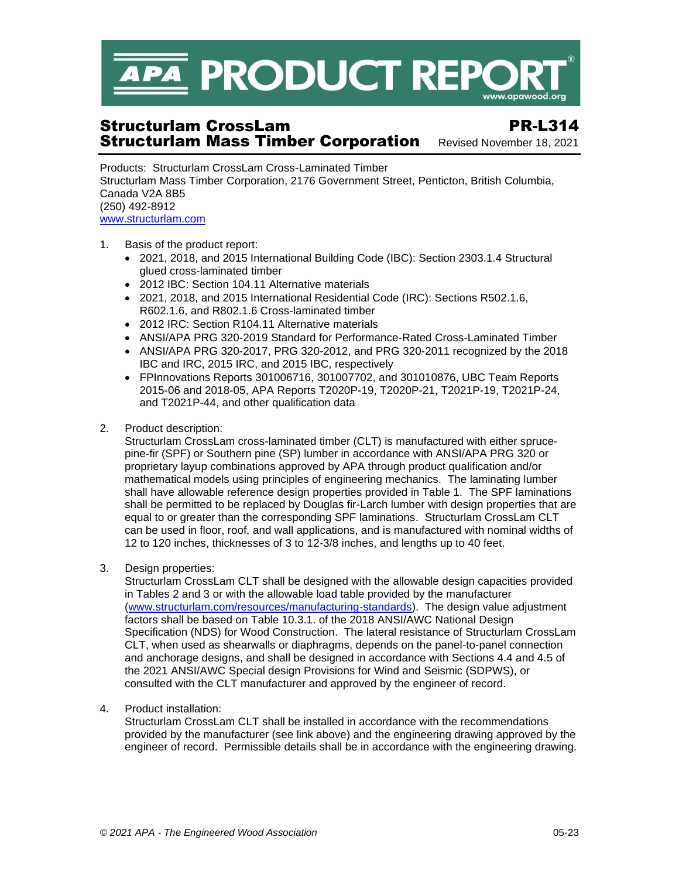

# Structurlam CrossLam PR-L314 **Structurlam Mass Timber Corporation** Revised November 18, 2021

Products: Structurlam CrossLam Cross-Laminated Timber Structurlam Mass Timber Corporation, 2176 Government Street, Penticton, British Columbia, Canada V2A 8B5 (250) 492-8912 [www.structurlam.com](http://www.structurlam.com/)

- 1. Basis of the product report:
	- 2021, 2018, and 2015 International Building Code (IBC): Section 2303.1.4 Structural glued cross-laminated timber
	- 2012 IBC: Section 104.11 Alternative materials
	- 2021, 2018, and 2015 International Residential Code (IRC): Sections R502.1.6, R602.1.6, and R802.1.6 Cross-laminated timber
	- 2012 IRC: Section R104.11 Alternative materials
	- ANSI/APA PRG 320-2019 Standard for Performance-Rated Cross-Laminated Timber
	- ANSI/APA PRG 320-2017, PRG 320-2012, and PRG 320-2011 recognized by the 2018 IBC and IRC, 2015 IRC, and 2015 IBC, respectively
	- FPInnovations Reports 301006716, 301007702, and 301010876, UBC Team Reports 2015-06 and 2018-05, APA Reports T2020P-19, T2020P-21, T2021P-19, T2021P-24, and T2021P-44, and other qualification data
- 2. Product description:

Structurlam CrossLam cross-laminated timber (CLT) is manufactured with either sprucepine-fir (SPF) or Southern pine (SP) lumber in accordance with ANSI/APA PRG 320 or proprietary layup combinations approved by APA through product qualification and/or mathematical models using principles of engineering mechanics. The laminating lumber shall have allowable reference design properties provided in Table 1. The SPF laminations shall be permitted to be replaced by Douglas fir-Larch lumber with design properties that are equal to or greater than the corresponding SPF laminations. Structurlam CrossLam CLT can be used in floor, roof, and wall applications, and is manufactured with nominal widths of 12 to 120 inches, thicknesses of 3 to 12-3/8 inches, and lengths up to 40 feet.

3. Design properties:

Structurlam CrossLam CLT shall be designed with the allowable design capacities provided in Tables 2 and 3 or with the allowable load table provided by the manufacturer [\(www.structurlam.com/resources/manufacturing-standards\)](https://www.structurlam.com/resources/manufacturing-standards/). The design value adjustment factors shall be based on Table 10.3.1. of the 2018 ANSI/AWC National Design Specification (NDS) for Wood Construction. The lateral resistance of Structurlam CrossLam CLT, when used as shearwalls or diaphragms, depends on the panel-to-panel connection and anchorage designs, and shall be designed in accordance with Sections 4.4 and 4.5 of the 2021 ANSI/AWC Special design Provisions for Wind and Seismic (SDPWS), or consulted with the CLT manufacturer and approved by the engineer of record.

4. Product installation:

Structurlam CrossLam CLT shall be installed in accordance with the recommendations provided by the manufacturer (see link above) and the engineering drawing approved by the engineer of record. Permissible details shall be in accordance with the engineering drawing.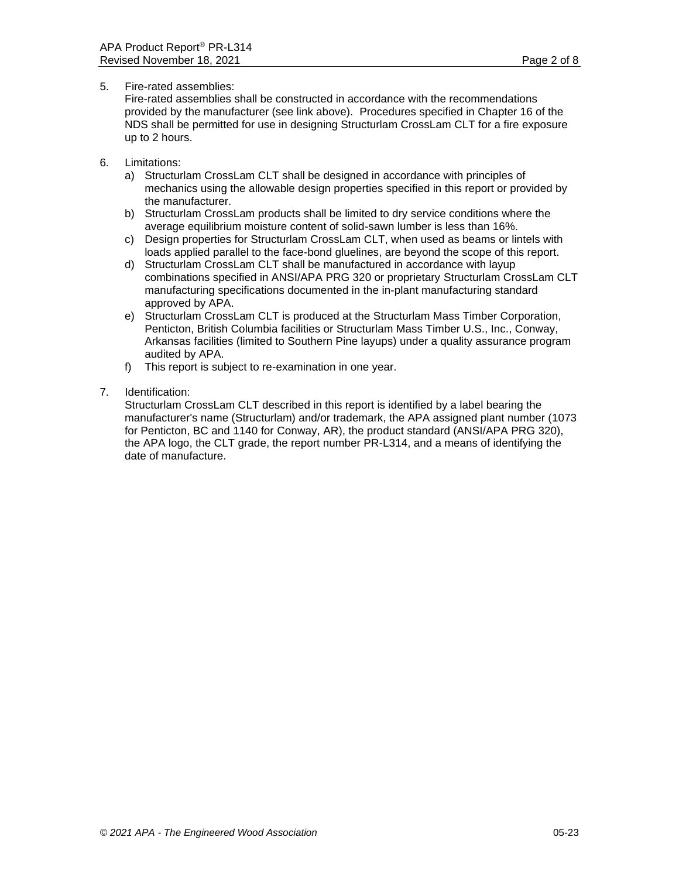### 5. Fire-rated assemblies:

Fire-rated assemblies shall be constructed in accordance with the recommendations provided by the manufacturer (see link above). Procedures specified in Chapter 16 of the NDS shall be permitted for use in designing Structurlam CrossLam CLT for a fire exposure up to 2 hours.

- 6. Limitations:
	- a) Structurlam CrossLam CLT shall be designed in accordance with principles of mechanics using the allowable design properties specified in this report or provided by the manufacturer.
	- b) Structurlam CrossLam products shall be limited to dry service conditions where the average equilibrium moisture content of solid-sawn lumber is less than 16%.
	- c) Design properties for Structurlam CrossLam CLT, when used as beams or lintels with loads applied parallel to the face-bond gluelines, are beyond the scope of this report.
	- d) Structurlam CrossLam CLT shall be manufactured in accordance with layup combinations specified in ANSI/APA PRG 320 or proprietary Structurlam CrossLam CLT manufacturing specifications documented in the in-plant manufacturing standard approved by APA.
	- e) Structurlam CrossLam CLT is produced at the Structurlam Mass Timber Corporation, Penticton, British Columbia facilities or Structurlam Mass Timber U.S., Inc., Conway, Arkansas facilities (limited to Southern Pine layups) under a quality assurance program audited by APA.
	- f) This report is subject to re-examination in one year.
- 7. Identification:

Structurlam CrossLam CLT described in this report is identified by a label bearing the manufacturer's name (Structurlam) and/or trademark, the APA assigned plant number (1073 for Penticton, BC and 1140 for Conway, AR), the product standard (ANSI/APA PRG 320), the APA logo, the CLT grade, the report number PR-L314, and a means of identifying the date of manufacture.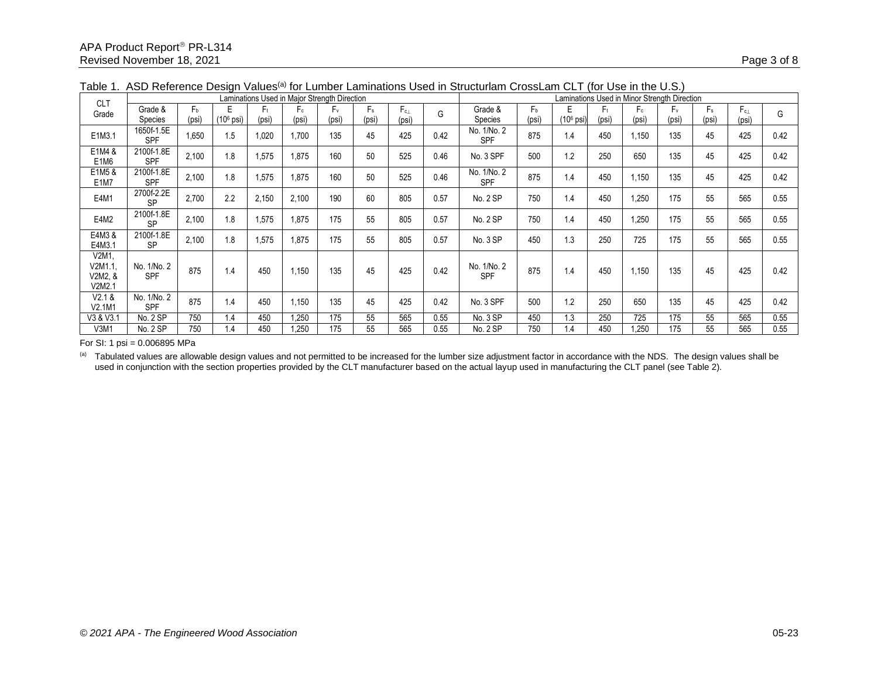| <b>CLT</b>                              | Laminations Used in Major Strength Direction |                |                       |                  |                |                  |                  |                       |      | Laminations Used in Minor Strength Direction |                         |             |       |                         |             |                  |                       |      |
|-----------------------------------------|----------------------------------------------|----------------|-----------------------|------------------|----------------|------------------|------------------|-----------------------|------|----------------------------------------------|-------------------------|-------------|-------|-------------------------|-------------|------------------|-----------------------|------|
| Grade                                   | Grade &<br>Species                           | $F_b$<br>(psi) | (10 <sup>6</sup> psi) | $F_{t}$<br>(psi) | $F_c$<br>(psi) | $F_{v}$<br>(psi) | $F_{s}$<br>(psi) | $F_{c\perp}$<br>(psi) | G    | Grade &<br>Species                           | F <sub>b</sub><br>(psi) | $(106$ psi) | (psi) | F <sub>c</sub><br>(psi) | F.<br>(psi) | $F_{s}$<br>(psi) | $F_{c\perp}$<br>(psi) | G    |
| E1M3.1                                  | 1650f-1.5E<br>SPF                            | 1,650          | 1.5                   | 1,020            | 1.700          | 135              | 45               | 425                   | 0.42 | No. 1/No. 2<br>SPF                           | 875                     | 1.4         | 450   | 1,150                   | 135         | 45               | 425                   | 0.42 |
| E1M4 &<br>E <sub>1</sub> M <sub>6</sub> | 2100f-1.8E<br>SPF                            | 2,100          | 1.8                   | 1,575            | 1,875          | 160              | 50               | 525                   | 0.46 | No. 3 SPF                                    | 500                     | 1.2         | 250   | 650                     | 135         | 45               | 425                   | 0.42 |
| E1M5 &<br>E <sub>1</sub> M <sub>7</sub> | 2100f-1.8E<br><b>SPF</b>                     | 2.100          | 1.8                   | 1,575            | 1,875          | 160              | 50               | 525                   | 0.46 | No. 1/No. 2<br><b>SPF</b>                    | 875                     | 1.4         | 450   | 1,150                   | 135         | 45               | 425                   | 0.42 |
| E4M1                                    | 2700f-2.2E<br><b>SP</b>                      | 2,700          | 2.2                   | 2,150            | 2,100          | 190              | 60               | 805                   | 0.57 | No. 2 SP                                     | 750                     | 1.4         | 450   | 1,250                   | 175         | 55               | 565                   | 0.55 |
| E4M2                                    | 2100f-1.8E<br><b>SP</b>                      | 2,100          | 1.8                   | 1,575            | 1,875          | 175              | 55               | 805                   | 0.57 | No. 2 SP                                     | 750                     | 1.4         | 450   | 1,250                   | 175         | 55               | 565                   | 0.55 |
| E4M3&<br>E4M3.1                         | 2100f-1.8E<br><b>SP</b>                      | 2,100          | 1.8                   | 1,575            | 1,875          | 175              | 55               | 805                   | 0.57 | No. 3 SP                                     | 450                     | 1.3         | 250   | 725                     | 175         | 55               | 565                   | 0.55 |
| V2M1,<br>V2M1.1,<br>V2M2, &<br>V2M2.1   | No. 1/No. 2<br><b>SPF</b>                    | 875            | 1.4                   | 450              | 1,150          | 135              | 45               | 425                   | 0.42 | No. 1/No. 2<br><b>SPF</b>                    | 875                     | 1.4         | 450   | 1,150                   | 135         | 45               | 425                   | 0.42 |
| V2.1 &<br>V2.1M1                        | No. 1/No. 2<br>SPF                           | 875            | 1.4                   | 450              | 1.150          | 135              | 45               | 425                   | 0.42 | No. 3 SPF                                    | 500                     | 1.2         | 250   | 650                     | 135         | 45               | 425                   | 0.42 |
| V3 & V3.1                               | No. 2 SP                                     | 750            | 1.4                   | 450              | 1.250          | 175              | 55               | 565                   | 0.55 | No. 3 SP                                     | 450                     | 1.3         | 250   | 725                     | 175         | 55               | 565                   | 0.55 |
| V3M1                                    | No. 2 SP                                     | 750            | 1.4                   | 450              | .250           | 175              | 55               | 565                   | 0.55 | No. 2 SP                                     | 750                     | 1.4         | 450   | 1,250                   | 175         | 55               | 565                   | 0.55 |

Table 1. ASD Reference Design Values<sup>(a)</sup> for Lumber Laminations Used in Structurlam CrossLam CLT (for Use in the U.S.)

For SI: 1 psi = 0.006895 MPa

<sup>(a)</sup> Tabulated values are allowable design values and not permitted to be increased for the lumber size adjustment factor in accordance with the NDS. The design values shall be used in conjunction with the section properties provided by the CLT manufacturer based on the actual layup used in manufacturing the CLT panel (see Table 2).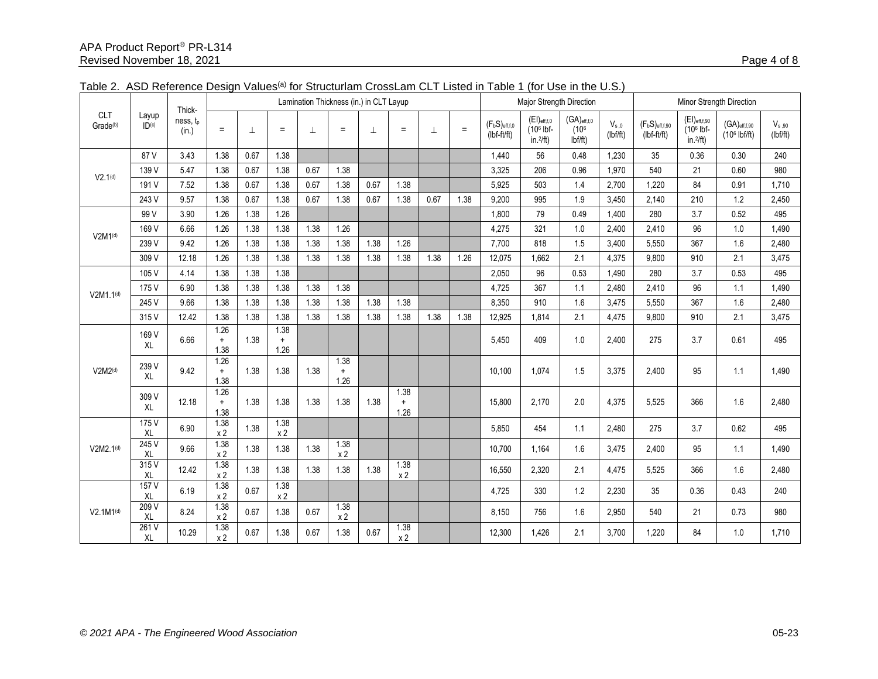| <b>CLT</b><br>Grade <sup>(b)</sup> | Layup<br>ID <sub>(c)</sub> | Thick-            | Lamination Thickness (in.) in CLT Layup |      |                           |         |                           |      |                           |      | Major Strength Direction |                                     |                                                |                                                        | Minor Strength Direction |                                      |                                                         |                                             |                        |
|------------------------------------|----------------------------|-------------------|-----------------------------------------|------|---------------------------|---------|---------------------------|------|---------------------------|------|--------------------------|-------------------------------------|------------------------------------------------|--------------------------------------------------------|--------------------------|--------------------------------------|---------------------------------------------------------|---------------------------------------------|------------------------|
|                                    |                            | ness, tp<br>(in.) | $\equiv$                                | ⊥    | $=$                       | $\perp$ | $=$                       | 丄    | $=$                       | 丄    | $=$                      | $(F_bS)_{eff,f,0}$<br>$(lbf-ft/ft)$ | $(EI)_{eff,f,0}$<br>$(106$ lbf-<br>$in.^2$ ft) | $(GA)_{\text{eff,f,0}}$<br>(10 <sup>6</sup> )<br>lbfft | $V_{s,0}$<br>(lbf/ft)    | $(F_bS)_{eff,f,90}$<br>$(lbf-ft/ft)$ | $(EI)$ eff,f,90<br>(10 <sup>6</sup> lbf-<br>$in.^2$ ft) | $(GA)$ eff,f,90<br>(10 <sup>6</sup> lbf/ft) | $V_{s,90}$<br>(lbf/ft) |
|                                    | 87V                        | 3.43              | 1.38                                    | 0.67 | 1.38                      |         |                           |      |                           |      |                          | 1,440                               | 56                                             | 0.48                                                   | 1,230                    | 35                                   | 0.36                                                    | 0.30                                        | 240                    |
| V2.1 <sup>(d)</sup>                | 139 V                      | 5.47              | 1.38                                    | 0.67 | 1.38                      | 0.67    | 1.38                      |      |                           |      |                          | 3,325                               | 206                                            | 0.96                                                   | 1.970                    | 540                                  | 21                                                      | 0.60                                        | 980                    |
|                                    | 191 V                      | 7.52              | 1.38                                    | 0.67 | 1.38                      | 0.67    | 1.38                      | 0.67 | 1.38                      |      |                          | 5,925                               | 503                                            | 1.4                                                    | 2.700                    | 1,220                                | 84                                                      | 0.91                                        | 1.710                  |
|                                    | 243 V                      | 9.57              | 1.38                                    | 0.67 | 1.38                      | 0.67    | 1.38                      | 0.67 | 1.38                      | 0.67 | 1.38                     | 9,200                               | 995                                            | 1.9                                                    | 3,450                    | 2.140                                | 210                                                     | 1.2                                         | 2,450                  |
|                                    | 99 V                       | 3.90              | 1.26                                    | 1.38 | 1.26                      |         |                           |      |                           |      |                          | 1,800                               | 79                                             | 0.49                                                   | 1,400                    | 280                                  | 3.7                                                     | 0.52                                        | 495                    |
| V2M1 <sup>(d)</sup>                | 169 V                      | 6.66              | 1.26                                    | 1.38 | 1.38                      | 1.38    | 1.26                      |      |                           |      |                          | 4,275                               | 321                                            | 1.0                                                    | 2,400                    | 2,410                                | 96                                                      | 1.0                                         | 1,490                  |
|                                    | 239 V                      | 9.42              | 1.26                                    | 1.38 | 1.38                      | 1.38    | 1.38                      | 1.38 | 1.26                      |      |                          | 7,700                               | 818                                            | 1.5                                                    | 3,400                    | 5,550                                | 367                                                     | 1.6                                         | 2,480                  |
|                                    | 309 V                      | 12.18             | 1.26                                    | 1.38 | 1.38                      | 1.38    | 1.38                      | 1.38 | 1.38                      | 1.38 | 1.26                     | 12,075                              | 1,662                                          | 2.1                                                    | 4,375                    | 9,800                                | 910                                                     | 2.1                                         | 3,475                  |
| $V2M1.1^{(d)}$                     | 105 V                      | 4.14              | 1.38                                    | 1.38 | 1.38                      |         |                           |      |                           |      |                          | 2,050                               | 96                                             | 0.53                                                   | 1,490                    | 280                                  | 3.7                                                     | 0.53                                        | 495                    |
|                                    | 175 V                      | 6.90              | 1.38                                    | 1.38 | 1.38                      | 1.38    | 1.38                      |      |                           |      |                          | 4,725                               | 367                                            | 1.1                                                    | 2,480                    | 2,410                                | 96                                                      | 1.1                                         | 1,490                  |
|                                    | 245 V                      | 9.66              | 1.38                                    | 1.38 | 1.38                      | 1.38    | 1.38                      | 1.38 | 1.38                      |      |                          | 8,350                               | 910                                            | 1.6                                                    | 3.475                    | 5,550                                | 367                                                     | 1.6                                         | 2,480                  |
|                                    | 315 V                      | 12.42             | 1.38                                    | 1.38 | 1.38                      | 1.38    | 1.38                      | 1.38 | 1.38                      | 1.38 | 1.38                     | 12,925                              | 1.814                                          | 2.1                                                    | 4,475                    | 9.800                                | 910                                                     | 2.1                                         | 3,475                  |
|                                    | 169 V<br><b>XL</b>         | 6.66              | 1.26<br>$+$<br>1.38                     | 1.38 | 1.38<br>$\ddot{}$<br>1.26 |         |                           |      |                           |      |                          | 5,450                               | 409                                            | 1.0                                                    | 2,400                    | 275                                  | 3.7                                                     | 0.61                                        | 495                    |
| V2M2 <sup>(d)</sup>                | 239 V<br>XL                | 9.42              | 1.26<br>$\ddot{}$<br>1.38               | 1.38 | 1.38                      | 1.38    | 1.38<br>$\ddot{}$<br>1.26 |      |                           |      |                          | 10,100                              | 1,074                                          | 1.5                                                    | 3,375                    | 2,400                                | 95                                                      | 1.1                                         | 1,490                  |
|                                    | 309 V<br><b>XL</b>         | 12.18             | 1.26<br>$\ddot{}$<br>1.38               | 1.38 | 1.38                      | 1.38    | 1.38                      | 1.38 | 1.38<br>$\ddot{}$<br>1.26 |      |                          | 15,800                              | 2,170                                          | 2.0                                                    | 4,375                    | 5,525                                | 366                                                     | 1.6                                         | 2,480                  |
|                                    | 175 V<br>XL                | 6.90              | 1.38<br>x <sub>2</sub>                  | 1.38 | 1.38<br>x <sub>2</sub>    |         |                           |      |                           |      |                          | 5,850                               | 454                                            | 1.1                                                    | 2.480                    | 275                                  | 3.7                                                     | 0.62                                        | 495                    |
| V2M2.1 <sup>(d)</sup>              | 245 V<br>XL                | 9.66              | 1.38<br>x <sub>2</sub>                  | 1.38 | 1.38                      | 1.38    | 1.38<br>x <sub>2</sub>    |      |                           |      |                          | 10.700                              | 1.164                                          | 1.6                                                    | 3.475                    | 2,400                                | 95                                                      | 1.1                                         | 1,490                  |
|                                    | 315V<br>XL                 | 12.42             | 1.38<br>x <sub>2</sub>                  | 1.38 | 1.38                      | 1.38    | 1.38                      | 1.38 | 1.38<br>x <sub>2</sub>    |      |                          | 16,550                              | 2,320                                          | 2.1                                                    | 4,475                    | 5,525                                | 366                                                     | 1.6                                         | 2,480                  |
|                                    | 157V<br>XL                 | 6.19              | 1.38<br>x <sub>2</sub>                  | 0.67 | 1.38<br>x <sub>2</sub>    |         |                           |      |                           |      |                          | 4,725                               | 330                                            | 1.2                                                    | 2.230                    | 35                                   | 0.36                                                    | 0.43                                        | 240                    |
| $V2.1M1^{(d)}$                     | 209V<br>XL                 | 8.24              | 1.38<br>x <sub>2</sub>                  | 0.67 | 1.38                      | 0.67    | 1.38<br>x <sub>2</sub>    |      |                           |      |                          | 8,150                               | 756                                            | 1.6                                                    | 2,950                    | 540                                  | 21                                                      | 0.73                                        | 980                    |
|                                    | 261 V<br>XL                | 10.29             | 1.38<br>x <sub>2</sub>                  | 0.67 | 1.38                      | 0.67    | 1.38                      | 0.67 | 1.38<br>x <sub>2</sub>    |      |                          | 12,300                              | 1.426                                          | 2.1                                                    | 3,700                    | 1,220                                | 84                                                      | 1.0                                         | 1,710                  |

Table 2. ASD Reference Design Values<sup>(a)</sup> for Structurlam CrossLam CLT Listed in Table 1 (for Use in the U.S.)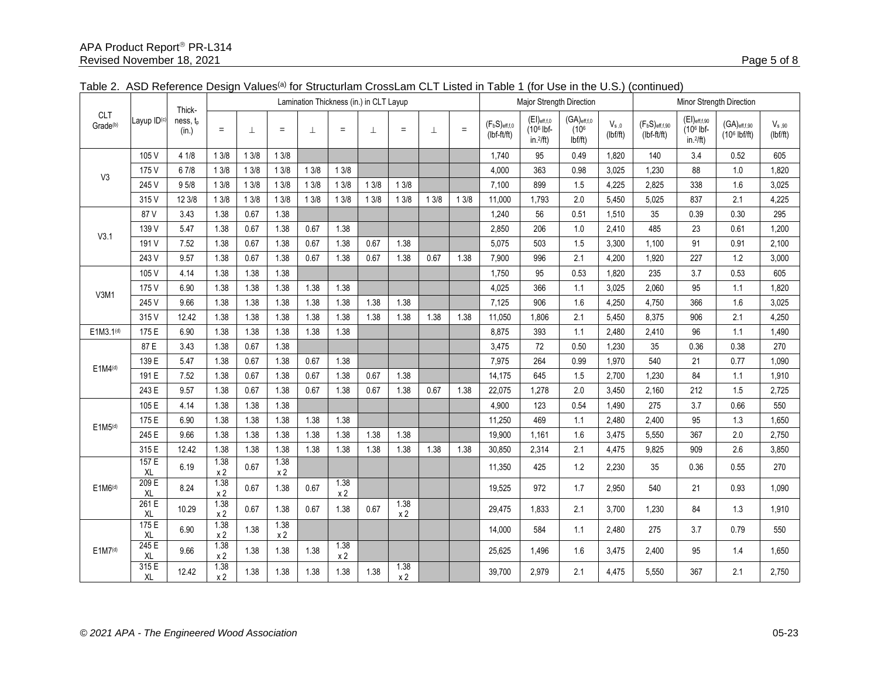|                                    | Layup ID <sup>(c)</sup> | Thick-<br>ness, tp<br>(in.) | Lamination Thickness (in.) in CLT Layup |      |                        |      |                        |         |                        |         |          | Major Strength Direction            |                                                  |                                                 | Minor Strength Direction |                                    |                                                               |                                                      |                        |
|------------------------------------|-------------------------|-----------------------------|-----------------------------------------|------|------------------------|------|------------------------|---------|------------------------|---------|----------|-------------------------------------|--------------------------------------------------|-------------------------------------------------|--------------------------|------------------------------------|---------------------------------------------------------------|------------------------------------------------------|------------------------|
| <b>CLT</b><br>Grade <sup>(b)</sup> |                         |                             | $\equiv$                                | 丄    | $=$                    | 工    | $=$                    | $\perp$ | $\quad \  \  =$        | $\perp$ | $\equiv$ | $(F_bS)_{eff,f,0}$<br>$(lbf-ft/ft)$ | $(EI)$ eff,f,0<br>$(106$ lbf-<br>in. $^{2}/ft$ ) | $(GA)$ eff,f,0<br>(10 <sup>6</sup> )<br>Ibf/ft) | $V_{s,0}$<br>(lbf/ft)    | $(F_bS)$ eff,f,90<br>$(lbf-ft/ft)$ | $(EI)_{eff,f,90}$<br>(10 <sup>6</sup> lbf-<br>in. $^{2}/ft$ ) | $(GA)_{\text{eff},f,90}$<br>(10 <sup>6</sup> lbf/ft) | $V_{s,90}$<br>(lbf/ft) |
|                                    | 105 V                   | 4 1/8                       | 13/8                                    | 13/8 | 13/8                   |      |                        |         |                        |         |          | 1,740                               | 95                                               | 0.49                                            | 1,820                    | 140                                | 3.4                                                           | 0.52                                                 | 605                    |
| V <sub>3</sub>                     | 175 V                   | 6 7/8                       | 13/8                                    | 13/8 | 13/8                   | 13/8 | 13/8                   |         |                        |         |          | 4,000                               | 363                                              | 0.98                                            | 3,025                    | 1,230                              | 88                                                            | 1.0                                                  | 1,820                  |
|                                    | 245 V                   | 95/8                        | 13/8                                    | 13/8 | 13/8                   | 13/8 | 13/8                   | 13/8    | 13/8                   |         |          | 7,100                               | 899                                              | 1.5                                             | 4,225                    | 2,825                              | 338                                                           | 1.6                                                  | 3,025                  |
|                                    | 315 V                   | 12 3/8                      | 13/8                                    | 13/8 | 13/8                   | 13/8 | 13/8                   | 13/8    | 13/8                   | 13/8    | 13/8     | 11,000                              | 1,793                                            | 2.0                                             | 5,450                    | 5,025                              | 837                                                           | 2.1                                                  | 4,225                  |
|                                    | 87V                     | 3.43                        | 1.38                                    | 0.67 | 1.38                   |      |                        |         |                        |         |          | 1,240                               | 56                                               | 0.51                                            | 1,510                    | 35                                 | 0.39                                                          | 0.30                                                 | 295                    |
| V3.1                               | 139 V                   | 5.47                        | 1.38                                    | 0.67 | 1.38                   | 0.67 | 1.38                   |         |                        |         |          | 2,850                               | 206                                              | 1.0                                             | 2,410                    | 485                                | 23                                                            | 0.61                                                 | 1,200                  |
|                                    | 191 V                   | 7.52                        | 1.38                                    | 0.67 | 1.38                   | 0.67 | 1.38                   | 0.67    | 1.38                   |         |          | 5,075                               | 503                                              | 1.5                                             | 3,300                    | 1,100                              | 91                                                            | 0.91                                                 | 2,100                  |
|                                    | 243 V                   | 9.57                        | 1.38                                    | 0.67 | 1.38                   | 0.67 | 1.38                   | 0.67    | 1.38                   | 0.67    | 1.38     | 7,900                               | 996                                              | 2.1                                             | 4,200                    | 1,920                              | 227                                                           | 1.2                                                  | 3,000                  |
|                                    | 105 V                   | 4.14                        | 1.38                                    | 1.38 | 1.38                   |      |                        |         |                        |         |          | 1,750                               | 95                                               | 0.53                                            | 1.820                    | 235                                | 3.7                                                           | 0.53                                                 | 605                    |
| V3M1                               | 175 V                   | 6.90                        | 1.38                                    | 1.38 | 1.38                   | 1.38 | 1.38                   |         |                        |         |          | 4,025                               | 366                                              | 1.1                                             | 3,025                    | 2,060                              | 95                                                            | 1.1                                                  | 1,820                  |
|                                    | 245 V                   | 9.66                        | 1.38                                    | 1.38 | 1.38                   | 1.38 | 1.38                   | 1.38    | 1.38                   |         |          | 7,125                               | 906                                              | 1.6                                             | 4,250                    | 4,750                              | 366                                                           | 1.6                                                  | 3,025                  |
|                                    | 315 V                   | 12.42                       | 1.38                                    | 1.38 | 1.38                   | 1.38 | 1.38                   | 1.38    | 1.38                   | 1.38    | 1.38     | 11,050                              | 1,806                                            | 2.1                                             | 5,450                    | 8,375                              | 906                                                           | 2.1                                                  | 4,250                  |
| E1M3.1(d)                          | 175 E                   | 6.90                        | 1.38                                    | 1.38 | 1.38                   | 1.38 | 1.38                   |         |                        |         |          | 8,875                               | 393                                              | 1.1                                             | 2,480                    | 2,410                              | 96                                                            | 1.1                                                  | 1,490                  |
| $E1M4^{(d)}$                       | 87 E                    | 3.43                        | 1.38                                    | 0.67 | 1.38                   |      |                        |         |                        |         |          | 3,475                               | 72                                               | 0.50                                            | 1,230                    | 35                                 | 0.36                                                          | 0.38                                                 | 270                    |
|                                    | 139 E                   | 5.47                        | 1.38                                    | 0.67 | 1.38                   | 0.67 | 1.38                   |         |                        |         |          | 7,975                               | 264                                              | 0.99                                            | 1.970                    | 540                                | 21                                                            | 0.77                                                 | 1.090                  |
|                                    | 191 E                   | 7.52                        | 1.38                                    | 0.67 | 1.38                   | 0.67 | 1.38                   | 0.67    | 1.38                   |         |          | 14,175                              | 645                                              | 1.5                                             | 2,700                    | 1,230                              | 84                                                            | 1.1                                                  | 1,910                  |
|                                    | 243 E                   | 9.57                        | 1.38                                    | 0.67 | 1.38                   | 0.67 | 1.38                   | 0.67    | 1.38                   | 0.67    | 1.38     | 22,075                              | 1,278                                            | 2.0                                             | 3,450                    | 2,160                              | 212                                                           | 1.5                                                  | 2,725                  |
|                                    | 105 E                   | 4.14                        | 1.38                                    | 1.38 | 1.38                   |      |                        |         |                        |         |          | 4,900                               | 123                                              | 0.54                                            | 1,490                    | 275                                | 3.7                                                           | 0.66                                                 | 550                    |
| $E1M5^{(d)}$                       | 175 E                   | 6.90                        | 1.38                                    | 1.38 | 1.38                   | 1.38 | 1.38                   |         |                        |         |          | 11,250                              | 469                                              | 1.1                                             | 2.480                    | 2.400                              | 95                                                            | 1.3                                                  | 1.650                  |
|                                    | 245 E                   | 9.66                        | 1.38                                    | 1.38 | 1.38                   | 1.38 | 1.38                   | 1.38    | 1.38                   |         |          | 19.900                              | 1.161                                            | 1.6                                             | 3.475                    | 5.550                              | 367                                                           | 2.0                                                  | 2.750                  |
|                                    | 315 E                   | 12.42                       | 1.38                                    | 1.38 | 1.38                   | 1.38 | 1.38                   | 1.38    | 1.38                   | 1.38    | 1.38     | 30,850                              | 2,314                                            | 2.1                                             | 4,475                    | 9,825                              | 909                                                           | 2.6                                                  | 3,850                  |
|                                    | 157E<br>XL              | 6.19                        | 1.38<br>x <sub>2</sub>                  | 0.67 | 1.38<br>x 2            |      |                        |         |                        |         |          | 11,350                              | 425                                              | 1.2                                             | 2,230                    | 35                                 | 0.36                                                          | 0.55                                                 | 270                    |
| E1M6 <sup>(d)</sup>                | 209 E<br>XL             | 8.24                        | 1.38<br>x <sub>2</sub>                  | 0.67 | 1.38                   | 0.67 | 1.38<br>x <sub>2</sub> |         |                        |         |          | 19.525                              | 972                                              | 1.7                                             | 2.950                    | 540                                | 21                                                            | 0.93                                                 | 1.090                  |
|                                    | 261 E<br>XL             | 10.29                       | 1.38<br>x <sub>2</sub>                  | 0.67 | 1.38                   | 0.67 | 1.38                   | 0.67    | 1.38<br>x 2            |         |          | 29,475                              | 1.833                                            | 2.1                                             | 3.700                    | 1,230                              | 84                                                            | 1.3                                                  | 1,910                  |
|                                    | 175E<br>XL              | 6.90                        | 1.38<br>x <sub>2</sub>                  | 1.38 | 1.38<br>x <sub>2</sub> |      |                        |         |                        |         |          | 14,000                              | 584                                              | 1.1                                             | 2,480                    | 275                                | 3.7                                                           | 0.79                                                 | 550                    |
| $E1M7^{(d)}$                       | 245 E<br>XL             | 9.66                        | 1.38<br>$\times\,2$                     | 1.38 | 1.38                   | 1.38 | 1.38<br>x <sub>2</sub> |         |                        |         |          | 25,625                              | 1,496                                            | 1.6                                             | 3,475                    | 2,400                              | 95                                                            | 1.4                                                  | 1,650                  |
|                                    | 315 E<br>XL             | 12.42                       | 1.38<br>x <sub>2</sub>                  | 1.38 | 1.38                   | 1.38 | 1.38                   | 1.38    | 1.38<br>x <sub>2</sub> |         |          | 39,700                              | 2,979                                            | 2.1                                             | 4,475                    | 5,550                              | 367                                                           | 2.1                                                  | 2,750                  |

## Table 2. ASD Reference Design Values<sup>(a)</sup> for Structurlam CrossLam CLT Listed in Table 1 (for Use in the U.S.) (continued)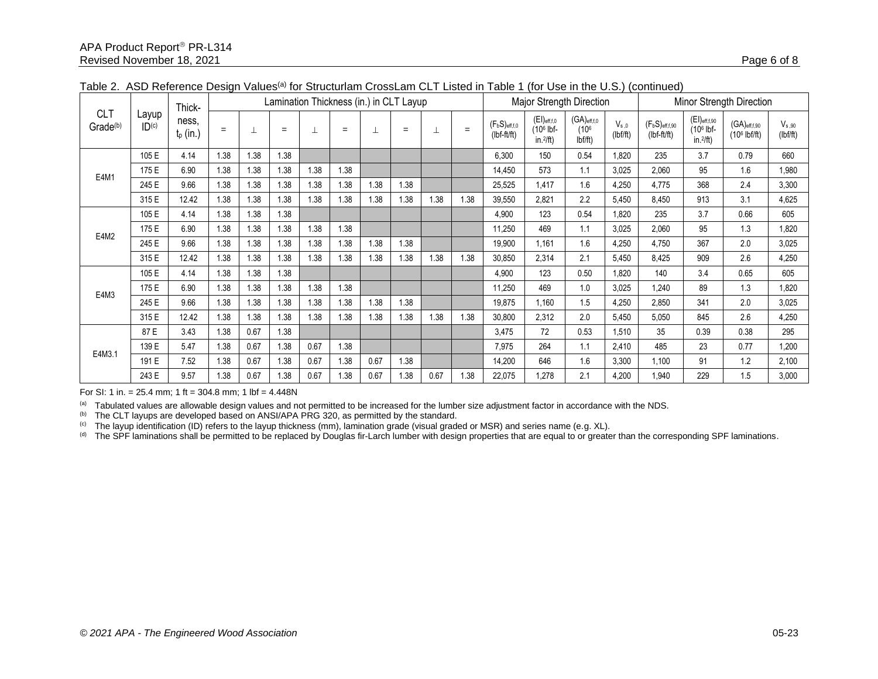|                                         |                | Thick-               | Lamination Thickness (in.) in CLT Layup |      |      |      |      |      |      |      |      | Major Strength Direction          |                                                 |                                                     |                       | Minor Strength Direction             |                                                               |                                               |                        |
|-----------------------------------------|----------------|----------------------|-----------------------------------------|------|------|------|------|------|------|------|------|-----------------------------------|-------------------------------------------------|-----------------------------------------------------|-----------------------|--------------------------------------|---------------------------------------------------------------|-----------------------------------------------|------------------------|
| CL <sub>1</sub><br>Grade <sup>(b)</sup> | Layup<br> D(c) | ness,<br>$t_p$ (in.) | $=$                                     |      | $=$  |      | $=$  |      | $=$  | ⊥    | $=$  | $(F_bS)_{eff,f,0}$<br>(lbf-ft/ft) | $(EI)_{eff,f,0}$<br>$(106$ lbf-<br>in. $2/ft$ ) | $(GA)_{eff, f, 0}$<br>(10 <sup>6</sup> )<br>Ibf/ft) | $V_{s.0}$<br>(lbf/ft) | $(F_bS)_{eff,f,90}$<br>$(lbf-ft/ft)$ | $(EI)_{eff,f,90}$<br>(10 <sup>6</sup> lbf-<br>in. $^{2}/ft$ ) | $(GA)_{eff,f,90}$<br>(10 <sup>6</sup> lbf/ft) | $V_{s,90}$<br>(lbf/ft) |
|                                         | 105 E          | 4.14                 | 1.38                                    | 1.38 | 1.38 |      |      |      |      |      |      | 6,300                             | 150                                             | 0.54                                                | 1,820                 | 235                                  | 3.7                                                           | 0.79                                          | 660                    |
| E4M1                                    | 175 E          | 6.90                 | 1.38                                    | 1.38 | 1.38 | 1.38 | 1.38 |      |      |      |      | 14,450                            | 573                                             | 1.1                                                 | 3,025                 | 2,060                                | 95                                                            | 1.6                                           | 1,980                  |
|                                         | 245 E          | 9.66                 | 1.38                                    | 1.38 | 1.38 | 1.38 | 1.38 | 1.38 | 1.38 |      |      | 25,525                            | 1.417                                           | 1.6                                                 | 4,250                 | 4,775                                | 368                                                           | 2.4                                           | 3,300                  |
|                                         | 315 E          | 12.42                | 1.38                                    | 1.38 | 1.38 | 1.38 | 1.38 | 1.38 | 1.38 | 1.38 | 1.38 | 39,550                            | 2,821                                           | 2.2                                                 | 5.450                 | 8,450                                | 913                                                           | 3.1                                           | 4,625                  |
| E4M2                                    | 105 E          | 4.14                 | 1.38                                    | 1.38 | 1.38 |      |      |      |      |      |      | 4,900                             | 123                                             | 0.54                                                | 1,820                 | 235                                  | 3.7                                                           | 0.66                                          | 605                    |
|                                         | 175 E          | 6.90                 | 1.38                                    | 1.38 | 1.38 | .38  | 1.38 |      |      |      |      | 11,250                            | 469                                             | 1.1                                                 | 3,025                 | 2,060                                | 95                                                            | 1.3                                           | 1,820                  |
|                                         | 245 E          | 9.66                 | 1.38                                    | 1.38 | 1.38 | 1.38 | 1.38 | 1.38 | 1.38 |      |      | 19,900                            | 1.161                                           | 1.6                                                 | 4,250                 | 4,750                                | 367                                                           | 2.0                                           | 3,025                  |
|                                         | 315 E          | 12.42                | 1.38                                    | 1.38 | 1.38 | 1.38 | 1.38 | 1.38 | 1.38 | 1.38 | 1.38 | 30,850                            | 2,314                                           | 2.1                                                 | 5,450                 | 8,425                                | 909                                                           | 2.6                                           | 4,250                  |
|                                         | 105 E          | 4.14                 | 1.38                                    | 1.38 | 1.38 |      |      |      |      |      |      | 4,900                             | 123                                             | 0.50                                                | 1,820                 | 140                                  | 3.4                                                           | 0.65                                          | 605                    |
| E4M3                                    | 175 E          | 6.90                 | 1.38                                    | 1.38 | 1.38 | 1.38 | 1.38 |      |      |      |      | 11,250                            | 469                                             | 1.0                                                 | 3,025                 | 1,240                                | 89                                                            | 1.3                                           | 1,820                  |
|                                         | 245 E          | 9.66                 | 1.38                                    | 1.38 | 1.38 | 1.38 | 1.38 | 1.38 | 1.38 |      |      | 19,875                            | 1.160                                           | 1.5                                                 | 4,250                 | 2,850                                | 341                                                           | 2.0                                           | 3,025                  |
|                                         | 315 E          | 12.42                | 1.38                                    | 1.38 | 1.38 | 1.38 | 1.38 | 1.38 | 1.38 | 1.38 | 1.38 | 30,800                            | 2,312                                           | 2.0                                                 | 5,450                 | 5,050                                | 845                                                           | 2.6                                           | 4,250                  |
|                                         | 87 E           | 3.43                 | 1.38                                    | 0.67 | 1.38 |      |      |      |      |      |      | 3,475                             | 72                                              | 0.53                                                | 1,510                 | 35                                   | 0.39                                                          | 0.38                                          | 295                    |
|                                         | 139 E          | 5.47                 | 1.38                                    | 0.67 | 1.38 | 0.67 | 1.38 |      |      |      |      | 7,975                             | 264                                             | 1.1                                                 | 2,410                 | 485                                  | 23                                                            | 0.77                                          | 1,200                  |
| E4M3.1                                  | 191 E          | 7.52                 | 1.38                                    | 0.67 | 1.38 | 0.67 | 1.38 | 0.67 | 1.38 |      |      | 14,200                            | 646                                             | 1.6                                                 | 3,300                 | 1,100                                | 91                                                            | 1.2                                           | 2,100                  |
|                                         | 243 E          | 9.57                 | 1.38                                    | 0.67 | 1.38 | 0.67 | 1.38 | 0.67 | 1.38 | 0.67 | 1.38 | 22,075                            | 1,278                                           | 2.1                                                 | 4,200                 | 1,940                                | 229                                                           | 1.5                                           | 3,000                  |

Table 2. ASD Reference Design Values<sup>(a)</sup> for Structurlam CrossLam CLT Listed in Table 1 (for Use in the U.S.) (continued)

For SI: 1 in. =  $25.4$  mm; 1 ft =  $304.8$  mm; 1 lbf =  $4.448N$ 

(a) Tabulated values are allowable design values and not permitted to be increased for the lumber size adjustment factor in accordance with the NDS.

(b) The CLT layups are developed based on ANSI/APA PRG 320, as permitted by the standard.

 $^{(c)}$  The layup identification (ID) refers to the layup thickness (mm), lamination grade (visual graded or MSR) and series name (e.g. XL).

(d) The SPF laminations shall be permitted to be replaced by Douglas fir-Larch lumber with design properties that are equal to or greater than the corresponding SPF laminations.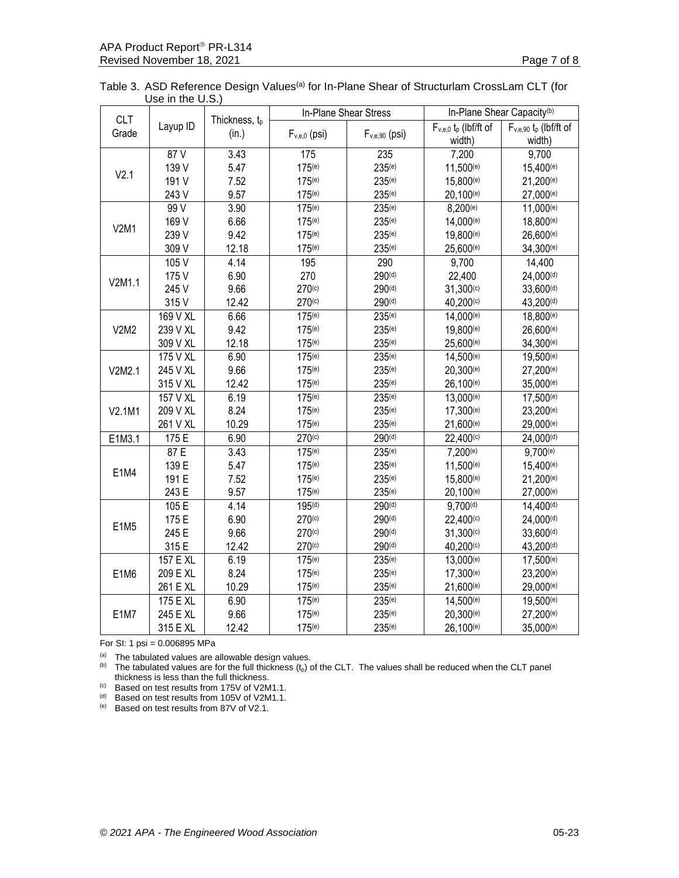| <b>CLT</b>  |          |               |                    | In-Plane Shear Stress | In-Plane Shear Capacity <sup>(b)</sup> |                                        |  |  |
|-------------|----------|---------------|--------------------|-----------------------|----------------------------------------|----------------------------------------|--|--|
| Grade       | Layup ID | Thickness, tp |                    |                       | $F_{v,e,0}$ t <sub>p</sub> (lbf/ft of  | $F_{v,e,90}$ t <sub>p</sub> (lbf/ft of |  |  |
|             |          | (in.)         | $F_{v,e,0}$ (psi)  | $F_{v,e,90}$ (psi)    | width)                                 | width)                                 |  |  |
|             | 87V      | 3.43          | 175                | 235                   | 7,200                                  | 9,700                                  |  |  |
|             | 139 V    | 5.47          | $175^{(e)}$        | $235^{(e)}$           | 11,500(e)                              | 15,400(e)                              |  |  |
| V2.1        | 191 V    | 7.52          | 175(e)             | 235(e)                | 15,800(e)                              | 21,200(e)                              |  |  |
|             | 243 V    | 9.57          | 175(e)             | 235(e)                | 20,100(e)                              | 27,000(e)                              |  |  |
|             | 99V      | 3.90          | $175^{(e)}$        | $235^{(e)}$           | 8,200(e)                               | 11,000(e)                              |  |  |
|             | 169 V    | 6.66          | $175^{(e)}$        | $235^{(e)}$           | 14,000(e)                              | 18,800(e)                              |  |  |
| <b>V2M1</b> | 239 V    | 9.42          | 175(e)             | $235^{(e)}$           | 19,800(e)                              | 26,600(e)                              |  |  |
|             | 309 V    | 12.18         | 175(e)             | 235(e)                | 25,600(e)                              | 34,300(e)                              |  |  |
|             | 105 V    | 4.14          | 195                | 290                   | 9,700                                  | 14,400                                 |  |  |
|             | 175 V    | 6.90          | 270                | 290 <sup>(d)</sup>    | 22,400                                 | $24,000^{(d)}$                         |  |  |
| V2M1.1      | 245 V    | 9.66          | 270 <sup>(c)</sup> | 290 <sup>(d)</sup>    | $31,300^{(c)}$                         | 33,600 <sup>(d)</sup>                  |  |  |
|             | 315 V    | 12.42         | 270 <sup>(c)</sup> | 290 <sup>(d)</sup>    | 40,200(c)                              | 43,200(d)                              |  |  |
|             | 169 V XL | 6.66          | 175(e)             | $235^{(e)}$           | 14,000(e)                              | 18,800(e)                              |  |  |
| V2M2        | 239 V XL | 9.42          | 175(e)             | $235^{(e)}$           | 19,800(e)                              | 26,600(e)                              |  |  |
|             | 309 V XL | 12.18         | $175^{(e)}$        | $235^{(e)}$           | 25,600(e)                              | 34,300(e)                              |  |  |
|             | 175 V XL | 6.90          | 175(e)             | $235^{(e)}$           | 14,500(e)                              | 19,500 <sup>(e)</sup>                  |  |  |
| V2M2.1      | 245 V XL | 9.66          | $175^{(e)}$        | $235^{(e)}$           | 20,300(e)                              | 27,200(e)                              |  |  |
|             | 315 V XL | 12.42         | $175^{(e)}$        | $235^{(e)}$           | 26,100 <sup>(e)</sup>                  | 35,000(e)                              |  |  |
|             | 157 V XL | 6.19          | 175(e)             | 235(e)                | 13,000(e)                              | 17,500(e)                              |  |  |
| V2.1M1      | 209 V XL | 8.24          | 175(e)             | 235(e)                | 17,300(e)                              | 23,200(e)                              |  |  |
|             | 261 V XL | 10.29         | $175^{(e)}$        | $235^{(e)}$           | 21,600(e)                              | 29,000(e)                              |  |  |
| E1M3.1      | 175 E    | 6.90          | 270 <sup>(c)</sup> | 290 <sup>(d)</sup>    | $22,400^{(c)}$                         | $24,000^{(d)}$                         |  |  |
|             | 87 E     | 3.43          | 175(e)             | 235(e)                | 7,200(e)                               | 9,700(e)                               |  |  |
|             | 139 E    | 5.47          | 175(e)             | 235(e)                | 11,500(e)                              | 15,400(e)                              |  |  |
| E1M4        | 191 E    | 7.52          | $175^{(e)}$        | $235^{(e)}$           | $15,800^{(e)}$                         | 21,200(e)                              |  |  |
|             | 243 E    | 9.57          | 175(e)             | $235^{(e)}$           | 20,100 <sup>(e)</sup>                  | 27,000(e)                              |  |  |
|             | 105 E    | 4.14          | 195 <sup>(d)</sup> | 290 <sup>(d)</sup>    | 9,700 <sup>(d)</sup>                   | 14,400(d)                              |  |  |
|             | 175 E    | 6.90          | 270 <sup>(c)</sup> | 290 <sup>(d)</sup>    | 22,400(c)                              | $24,000^{(d)}$                         |  |  |
| E1M5        | 245 E    | 9.66          | 270 <sup>(c)</sup> | 290 <sup>(d)</sup>    | 31,300(c)                              | 33,600(d)                              |  |  |
|             | 315 E    | 12.42         | 270 <sup>(c)</sup> | 290 <sup>(d)</sup>    | 40,200(c)                              | 43,200(d)                              |  |  |
|             | 157 E XL | 6.19          | 175(e)             | $235^{(e)}$           | 13,000(e)                              | 17,500(e)                              |  |  |
| E1M6        | 209 E XL | 8.24          | 175(e)             | 235(e)                | 17,300(e)                              | 23,200(e)                              |  |  |
|             | 261 E XL | 10.29         | 175(e)             | 235(e)                | 21,600(e)                              | 29,000(e)                              |  |  |
|             | 175 E XL | 6.90          | 175 <sup>(e)</sup> | $235^{(e)}$           | 14,500(e)                              | 19,500(e)                              |  |  |
| <b>E1M7</b> | 245 E XL | 9.66          | 175(e)             | $235^{(e)}$           | 20,300(e)                              | 27,200(e)                              |  |  |
|             | 315 E XL | 12.42         | 175(e)             | 235(e)                | 26,100(e)                              | 35,000(e)                              |  |  |

Table 3. ASD Reference Design Values<sup>(a)</sup> for In-Plane Shear of Structurlam CrossLam CLT (for Use in the U.S.)

For SI: 1 psi = 0.006895 MPa

 $(a)$  The tabulated values are allowable design values.

(b) The tabulated values are for the full thickness  $(t_p)$  of the CLT. The values shall be reduced when the CLT panel thickness is less than the full thickness.

(c) Based on test results from 175V of V2M1.1.

(d) Based on test results from 105V of V2M1.1.

(e) Based on test results from 87V of V2.1.